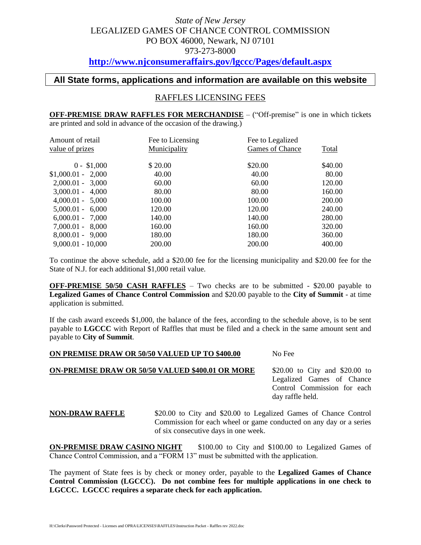# *State of New Jersey* LEGALIZED GAMES OF CHANCE CONTROL COMMISSION PO BOX 46000, Newark, NJ 07101 973-273-8000

## **<http://www.njconsumeraffairs.gov/lgccc/Pages/default.aspx>**

#### **All State forms, applications and information are available on this website**

#### RAFFLES LICENSING FEES

**OFF-PREMISE DRAW RAFFLES FOR MERCHANDISE** – ("Off-premise" is one in which tickets are printed and sold in advance of the occasion of the drawing.)

| Amount of retail    | Fee to Licensing    | Fee to Legalized |              |
|---------------------|---------------------|------------------|--------------|
| value of prizes     | <b>Municipality</b> | Games of Chance  | <b>Total</b> |
| $0 - $1,000$        | \$20.00             | \$20.00          | \$40.00      |
| $$1,000.01 - 2,000$ | 40.00               | 40.00            | 80.00        |
| $2,000.01 - 3,000$  | 60.00               | 60.00            | 120.00       |
| $3,000.01 - 4,000$  | 80.00               | 80.00            | 160.00       |
| $4,000.01 - 5,000$  | 100.00              | 100.00           | 200.00       |
| $5,000.01 - 6,000$  | 120.00              | 120.00           | 240.00       |
| $6,000.01 - 7,000$  | 140.00              | 140.00           | 280.00       |
| $7,000.01 - 8,000$  | 160.00              | 160.00           | 320.00       |
| $8,000.01 - 9,000$  | 180.00              | 180.00           | 360.00       |
| $9,000.01 - 10,000$ | 200.00              | 200.00           | 400.00       |

To continue the above schedule, add a \$20.00 fee for the licensing municipality and \$20.00 fee for the State of N.J. for each additional \$1,000 retail value.

**OFF-PREMISE 50/50 CASH RAFFLES** – Two checks are to be submitted - \$20.00 payable to **Legalized Games of Chance Control Commission** and \$20.00 payable to the **City of Summit** - at time application is submitted.

If the cash award exceeds \$1,000, the balance of the fees, according to the schedule above, is to be sent payable to **LGCCC** with Report of Raffles that must be filed and a check in the same amount sent and payable to **City of Summit**.

#### **ON PREMISE DRAW OR 50/50 VALUED UP TO \$400.00** No Fee

#### **ON-PREMISE DRAW OR 50/50 VALUED \$400.01 OR MORE** \$20.00 to City and \$20.00 to

Legalized Games of Chance Control Commission for each day raffle held.

**NON-DRAW RAFFLE** \$20.00 to City and \$20.00 to Legalized Games of Chance Control Commission for each wheel or game conducted on any day or a series of six consecutive days in one week.

**ON-PREMISE DRAW CASINO NIGHT** \$100.00 to City and \$100.00 to Legalized Games of Chance Control Commission, and a "FORM 13" must be submitted with the application.

The payment of State fees is by check or money order, payable to the **Legalized Games of Chance Control Commission (LGCCC). Do not combine fees for multiple applications in one check to LGCCC. LGCCC requires a separate check for each application.**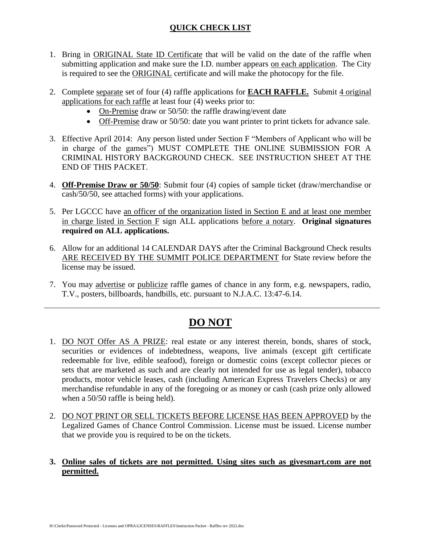#### **QUICK CHECK LIST**

- 1. Bring in ORIGINAL State ID Certificate that will be valid on the date of the raffle when submitting application and make sure the I.D. number appears on each application. The City is required to see the ORIGINAL certificate and will make the photocopy for the file.
- 2. Complete separate set of four (4) raffle applications for **EACH RAFFLE.** Submit 4 original applications for each raffle at least four (4) weeks prior to:
	- On-Premise draw or 50/50: the raffle drawing/event date
	- Off-Premise draw or 50/50: date you want printer to print tickets for advance sale.
- 3. Effective April 2014: Any person listed under Section F "Members of Applicant who will be in charge of the games") MUST COMPLETE THE ONLINE SUBMISSION FOR A CRIMINAL HISTORY BACKGROUND CHECK. SEE INSTRUCTION SHEET AT THE END OF THIS PACKET.
- 4. **Off-Premise Draw or 50/50**: Submit four (4) copies of sample ticket (draw/merchandise or cash/50/50, see attached forms) with your applications.
- 5. Per LGCCC have an officer of the organization listed in Section E and at least one member in charge listed in Section F sign ALL applications before a notary. **Original signatures required on ALL applications.**
- 6. Allow for an additional 14 CALENDAR DAYS after the Criminal Background Check results ARE RECEIVED BY THE SUMMIT POLICE DEPARTMENT for State review before the license may be issued.
- 7. You may advertise or publicize raffle games of chance in any form, e.g. newspapers, radio, T.V., posters, billboards, handbills, etc. pursuant to N.J.A.C. 13:47-6.14.

# **DO NOT**

- 1. DO NOT Offer AS A PRIZE: real estate or any interest therein, bonds, shares of stock, securities or evidences of indebtedness, weapons, live animals (except gift certificate redeemable for live, edible seafood), foreign or domestic coins (except collector pieces or sets that are marketed as such and are clearly not intended for use as legal tender), tobacco products, motor vehicle leases, cash (including American Express Travelers Checks) or any merchandise refundable in any of the foregoing or as money or cash (cash prize only allowed when a 50/50 raffle is being held).
- 2. DO NOT PRINT OR SELL TICKETS BEFORE LICENSE HAS BEEN APPROVED by the Legalized Games of Chance Control Commission. License must be issued. License number that we provide you is required to be on the tickets.

#### **3. Online sales of tickets are not permitted. Using sites such as givesmart.com are not permitted.**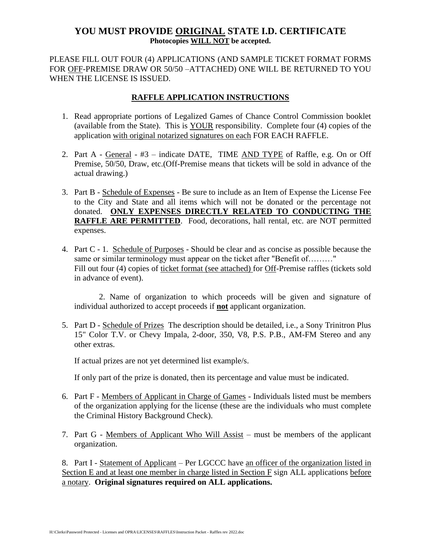### **YOU MUST PROVIDE ORIGINAL STATE I.D. CERTIFICATE Photocopies WILL NOT be accepted.**

PLEASE FILL OUT FOUR (4) APPLICATIONS (AND SAMPLE TICKET FORMAT FORMS FOR OFF-PREMISE DRAW OR 50/50 –ATTACHED) ONE WILL BE RETURNED TO YOU WHEN THE LICENSE IS ISSUED.

#### **RAFFLE APPLICATION INSTRUCTIONS**

- 1. Read appropriate portions of Legalized Games of Chance Control Commission booklet (available from the State). This is YOUR responsibility. Complete four (4) copies of the application with original notarized signatures on each FOR EACH RAFFLE.
- 2. Part A General #3 indicate DATE, TIME AND TYPE of Raffle, e.g. On or Off Premise, 50/50, Draw, etc.(Off-Premise means that tickets will be sold in advance of the actual drawing.)
- 3. Part B Schedule of Expenses Be sure to include as an Item of Expense the License Fee to the City and State and all items which will not be donated or the percentage not donated. **ONLY EXPENSES DIRECTLY RELATED TO CONDUCTING THE RAFFLE ARE PERMITTED**. Food, decorations, hall rental, etc. are NOT permitted expenses.
- 4. Part C 1. Schedule of Purposes Should be clear and as concise as possible because the same or similar terminology must appear on the ticket after "Benefit of........." Fill out four (4) copies of ticket format (see attached) for Off-Premise raffles (tickets sold in advance of event).

2. Name of organization to which proceeds will be given and signature of individual authorized to accept proceeds if **not** applicant organization.

5. Part D - Schedule of Prizes The description should be detailed, i.e., a Sony Trinitron Plus 15" Color T.V. or Chevy Impala, 2-door, 350, V8, P.S. P.B., AM-FM Stereo and any other extras.

If actual prizes are not yet determined list example/s.

If only part of the prize is donated, then its percentage and value must be indicated.

- 6. Part F Members of Applicant in Charge of Games Individuals listed must be members of the organization applying for the license (these are the individuals who must complete the Criminal History Background Check).
- 7. Part G Members of Applicant Who Will Assist must be members of the applicant organization.

8. Part I - Statement of Applicant – Per LGCCC have an officer of the organization listed in Section E and at least one member in charge listed in Section F sign ALL applications before a notary. **Original signatures required on ALL applications.**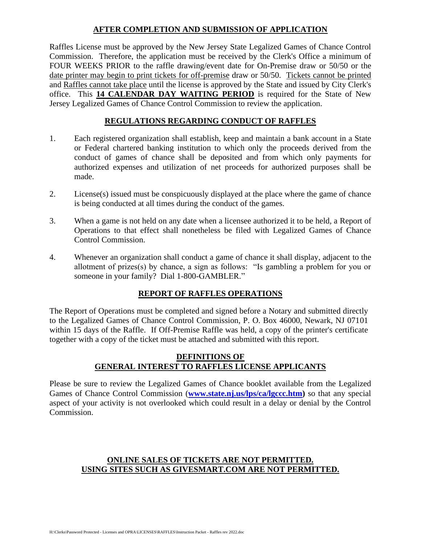#### **AFTER COMPLETION AND SUBMISSION OF APPLICATION**

Raffles License must be approved by the New Jersey State Legalized Games of Chance Control Commission. Therefore, the application must be received by the Clerk's Office a minimum of FOUR WEEKS PRIOR to the raffle drawing/event date for On-Premise draw or 50/50 or the date printer may begin to print tickets for off-premise draw or 50/50. Tickets cannot be printed and Raffles cannot take place until the license is approved by the State and issued by City Clerk's office. This **14 CALENDAR DAY WAITING PERIOD** is required for the State of New Jersey Legalized Games of Chance Control Commission to review the application.

#### **REGULATIONS REGARDING CONDUCT OF RAFFLES**

- 1. Each registered organization shall establish, keep and maintain a bank account in a State or Federal chartered banking institution to which only the proceeds derived from the conduct of games of chance shall be deposited and from which only payments for authorized expenses and utilization of net proceeds for authorized purposes shall be made.
- 2. License(s) issued must be conspicuously displayed at the place where the game of chance is being conducted at all times during the conduct of the games.
- 3. When a game is not held on any date when a licensee authorized it to be held, a Report of Operations to that effect shall nonetheless be filed with Legalized Games of Chance Control Commission.
- 4. Whenever an organization shall conduct a game of chance it shall display, adjacent to the allotment of prizes(s) by chance, a sign as follows: "Is gambling a problem for you or someone in your family? Dial 1-800-GAMBLER."

#### **REPORT OF RAFFLES OPERATIONS**

The Report of Operations must be completed and signed before a Notary and submitted directly to the Legalized Games of Chance Control Commission, P. O. Box 46000, Newark, NJ 07101 within 15 days of the Raffle. If Off-Premise Raffle was held, a copy of the printer's certificate together with a copy of the ticket must be attached and submitted with this report.

#### **DEFINITIONS OF GENERAL INTEREST TO RAFFLES LICENSE APPLICANTS**

Please be sure to review the Legalized Games of Chance booklet available from the Legalized Games of Chance Control Commission (**[www.state.nj.us/lps/ca/lgccc.htm\)](http://www.state.nj.us/lps/ca/lgccc.htm)** so that any special aspect of your activity is not overlooked which could result in a delay or denial by the Control Commission.

#### **ONLINE SALES OF TICKETS ARE NOT PERMITTED. USING SITES SUCH AS GIVESMART.COM ARE NOT PERMITTED.**